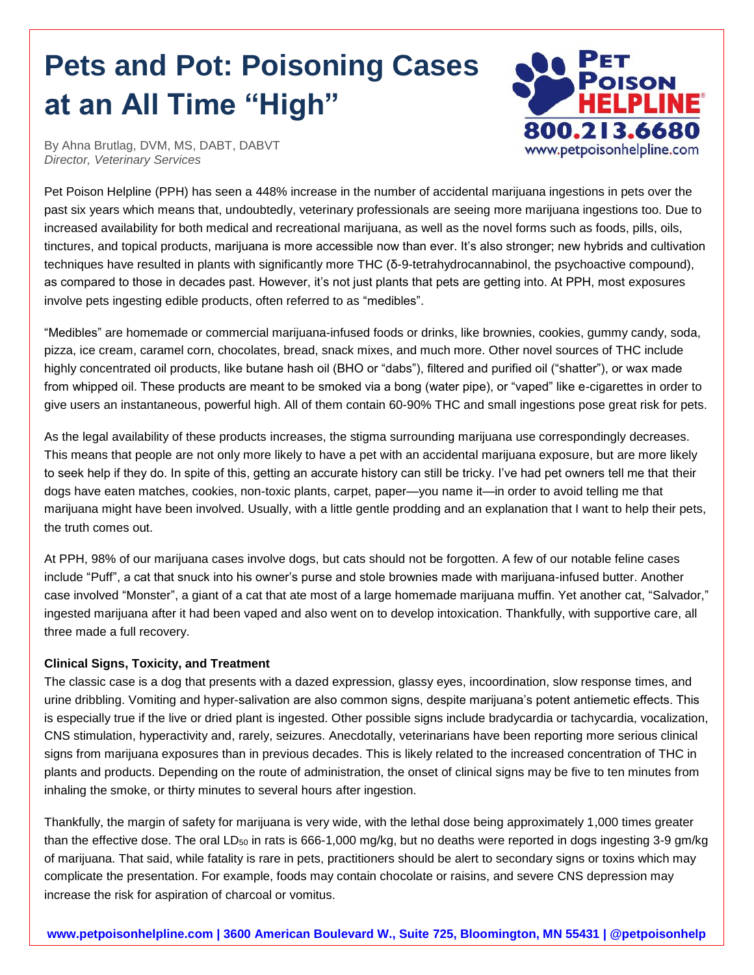# **Pets and Pot: Poisoning Cases at an All Time "High"**



By Ahna Brutlag, DVM, MS, DABT, DABVT *Director, Veterinary Services*

Pet Poison Helpline (PPH) has seen a 448% increase in the number of accidental marijuana ingestions in pets over the past six years which means that, undoubtedly, veterinary professionals are seeing more marijuana ingestions too. Due to increased availability for both medical and recreational marijuana, as well as the novel forms such as foods, pills, oils, tinctures, and topical products, marijuana is more accessible now than ever. It's also stronger; new hybrids and cultivation techniques have resulted in plants with significantly more THC (δ-9-tetrahydrocannabinol, the psychoactive compound), as compared to those in decades past. However, it's not just plants that pets are getting into. At PPH, most exposures involve pets ingesting edible products, often referred to as "medibles".

"Medibles" are homemade or commercial marijuana-infused foods or drinks, like brownies, cookies, gummy candy, soda, pizza, ice cream, caramel corn, chocolates, bread, snack mixes, and much more. Other novel sources of THC include highly concentrated oil products, like butane hash oil (BHO or "dabs"), filtered and purified oil ("shatter"), or wax made from whipped oil. These products are meant to be smoked via a bong (water pipe), or "vaped" like e-cigarettes in order to give users an instantaneous, powerful high. All of them contain 60-90% THC and small ingestions pose great risk for pets.

As the legal availability of these products increases, the stigma surrounding marijuana use correspondingly decreases. This means that people are not only more likely to have a pet with an accidental marijuana exposure, but are more likely to seek help if they do. In spite of this, getting an accurate history can still be tricky. I've had pet owners tell me that their dogs have eaten matches, cookies, non-toxic plants, carpet, paper—you name it—in order to avoid telling me that marijuana might have been involved. Usually, with a little gentle prodding and an explanation that I want to help their pets, the truth comes out.

At PPH, 98% of our marijuana cases involve dogs, but cats should not be forgotten. A few of our notable feline cases include "Puff", a cat that snuck into his owner's purse and stole brownies made with marijuana-infused butter. Another case involved "Monster", a giant of a cat that ate most of a large homemade marijuana muffin. Yet another cat, "Salvador," ingested marijuana after it had been vaped and also went on to develop intoxication. Thankfully, with supportive care, all three made a full recovery.

# **Clinical Signs, Toxicity, and Treatment**

The classic case is a dog that presents with a dazed expression, glassy eyes, incoordination, slow response times, and urine dribbling. Vomiting and hyper-salivation are also common signs, despite marijuana's potent antiemetic effects. This is especially true if the live or dried plant is ingested. Other possible signs include bradycardia or tachycardia, vocalization, CNS stimulation, hyperactivity and, rarely, seizures. Anecdotally, veterinarians have been reporting more serious clinical signs from marijuana exposures than in previous decades. This is likely related to the increased concentration of THC in plants and products. Depending on the route of administration, the onset of clinical signs may be five to ten minutes from inhaling the smoke, or thirty minutes to several hours after ingestion.

Thankfully, the margin of safety for marijuana is very wide, with the lethal dose being approximately 1,000 times greater than the effective dose. The oral  $LD_{50}$  in rats is 666-1,000 mg/kg, but no deaths were reported in dogs ingesting 3-9 gm/kg of marijuana. That said, while fatality is rare in pets, practitioners should be alert to secondary signs or toxins which may complicate the presentation. For example, foods may contain chocolate or raisins, and severe CNS depression may increase the risk for aspiration of charcoal or vomitus.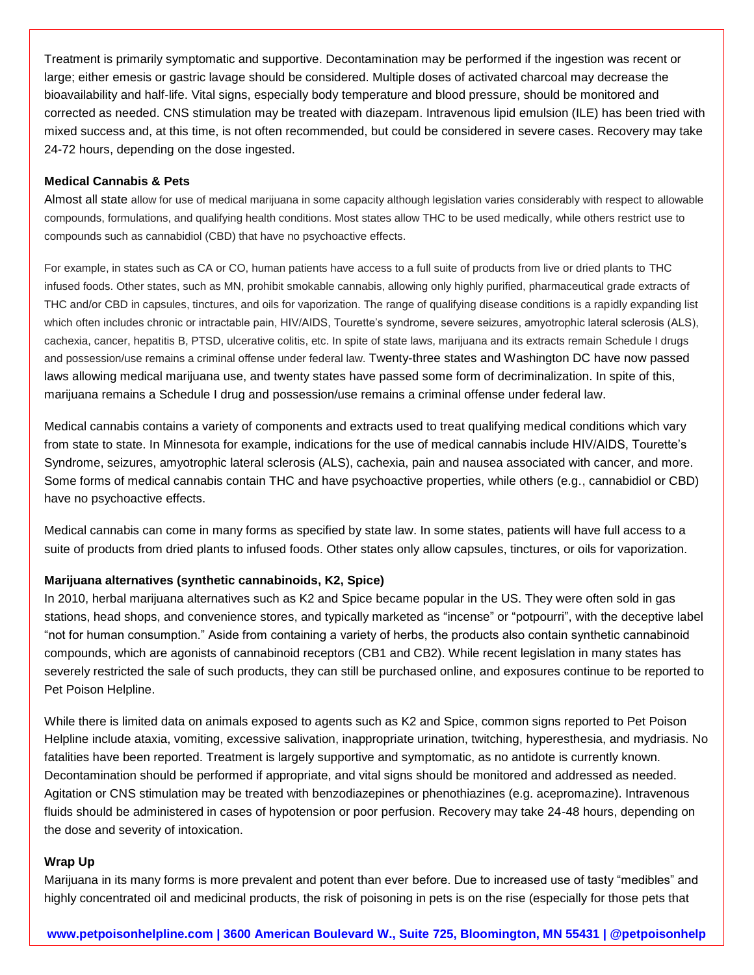Treatment is primarily symptomatic and supportive. Decontamination may be performed if the ingestion was recent or large; either emesis or gastric lavage should be considered. Multiple doses of activated charcoal may decrease the bioavailability and half-life. Vital signs, especially body temperature and blood pressure, should be monitored and corrected as needed. CNS stimulation may be treated with diazepam. Intravenous lipid emulsion (ILE) has been tried with mixed success and, at this time, is not often recommended, but could be considered in severe cases. Recovery may take 24-72 hours, depending on the dose ingested.

### **Medical Cannabis & Pets**

Almost all state allow for use of medical marijuana in some capacity although legislation varies considerably with respect to allowable compounds, formulations, and qualifying health conditions. Most states allow THC to be used medically, while others restrict use to compounds such as cannabidiol (CBD) that have no psychoactive effects.

For example, in states such as CA or CO, human patients have access to a full suite of products from live or dried plants to THC infused foods. Other states, such as MN, prohibit smokable cannabis, allowing only highly purified, pharmaceutical grade extracts of THC and/or CBD in capsules, tinctures, and oils for vaporization. The range of qualifying disease conditions is a rapidly expanding list which often includes chronic or intractable pain, HIV/AIDS, Tourette's syndrome, severe seizures, amyotrophic lateral sclerosis (ALS), cachexia, cancer, hepatitis B, PTSD, ulcerative colitis, etc. In spite of state laws, marijuana and its extracts remain Schedule I drugs and possession/use remains a criminal offense under federal law. Twenty-three states and Washington DC have now passed laws allowing medical marijuana use, and twenty states have passed some form of decriminalization. In spite of this, marijuana remains a Schedule I drug and possession/use remains a criminal offense under federal law.

Medical cannabis contains a variety of components and extracts used to treat qualifying medical conditions which vary from state to state. In Minnesota for example, indications for the use of medical cannabis include HIV/AIDS, Tourette's Syndrome, seizures, amyotrophic lateral sclerosis (ALS), cachexia, pain and nausea associated with cancer, and more. Some forms of medical cannabis contain THC and have psychoactive properties, while others (e.g., cannabidiol or CBD) have no psychoactive effects.

Medical cannabis can come in many forms as specified by state law. In some states, patients will have full access to a suite of products from dried plants to infused foods. Other states only allow capsules, tinctures, or oils for vaporization.

# **Marijuana alternatives (synthetic cannabinoids, K2, Spice)**

In 2010, herbal marijuana alternatives such as K2 and Spice became popular in the US. They were often sold in gas stations, head shops, and convenience stores, and typically marketed as "incense" or "potpourri", with the deceptive label "not for human consumption." Aside from containing a variety of herbs, the products also contain synthetic cannabinoid compounds, which are agonists of cannabinoid receptors (CB1 and CB2). While recent legislation in many states has severely restricted the sale of such products, they can still be purchased online, and exposures continue to be reported to Pet Poison Helpline.

While there is limited data on animals exposed to agents such as K2 and Spice, common signs reported to Pet Poison Helpline include ataxia, vomiting, excessive salivation, inappropriate urination, twitching, hyperesthesia, and mydriasis. No fatalities have been reported. Treatment is largely supportive and symptomatic, as no antidote is currently known. Decontamination should be performed if appropriate, and vital signs should be monitored and addressed as needed. Agitation or CNS stimulation may be treated with benzodiazepines or phenothiazines (e.g. acepromazine). Intravenous fluids should be administered in cases of hypotension or poor perfusion. Recovery may take 24-48 hours, depending on the dose and severity of intoxication.

### **Wrap Up**

Marijuana in its many forms is more prevalent and potent than ever before. Due to increased use of tasty "medibles" and highly concentrated oil and medicinal products, the risk of poisoning in pets is on the rise (especially for those pets that

**www.petpoisonhelpline.com | 3600 American Boulevard W., Suite 725, Bloomington, MN 55431 | @petpoisonhelp**